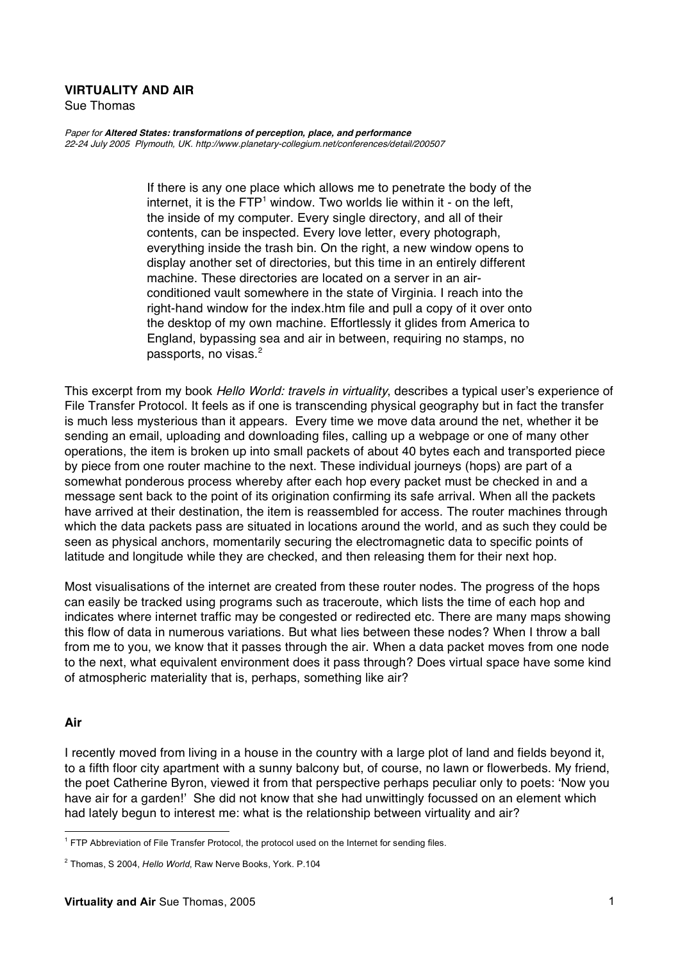# **VIRTUALITY AND AIR**

Sue Thomas

Paper for **Altered States: transformations of perception, place, and performance** 22-24 July 2005 Plymouth, UK. http://www.planetary-collegium.net/conferences/detail/200507

> If there is any one place which allows me to penetrate the body of the internet, it is the  $FTP<sup>1</sup>$  window. Two worlds lie within it - on the left, the inside of my computer. Every single directory, and all of their contents, can be inspected. Every love letter, every photograph, everything inside the trash bin. On the right, a new window opens to display another set of directories, but this time in an entirely different machine. These directories are located on a server in an airconditioned vault somewhere in the state of Virginia. I reach into the right-hand window for the index.htm file and pull a copy of it over onto the desktop of my own machine. Effortlessly it glides from America to England, bypassing sea and air in between, requiring no stamps, no passports, no visas. 2

This excerpt from my book *Hello World: travels in virtuality*, describes a typical user's experience of File Transfer Protocol. It feels as if one is transcending physical geography but in fact the transfer is much less mysterious than it appears. Every time we move data around the net, whether it be sending an email, uploading and downloading files, calling up a webpage or one of many other operations, the item is broken up into small packets of about 40 bytes each and transported piece by piece from one router machine to the next. These individual journeys (hops) are part of a somewhat ponderous process whereby after each hop every packet must be checked in and a message sent back to the point of its origination confirming its safe arrival. When all the packets have arrived at their destination, the item is reassembled for access. The router machines through which the data packets pass are situated in locations around the world, and as such they could be seen as physical anchors, momentarily securing the electromagnetic data to specific points of latitude and longitude while they are checked, and then releasing them for their next hop.

Most visualisations of the internet are created from these router nodes. The progress of the hops can easily be tracked using programs such as traceroute, which lists the time of each hop and indicates where internet traffic may be congested or redirected etc. There are many maps showing this flow of data in numerous variations. But what lies between these nodes? When I throw a ball from me to you, we know that it passes through the air. When a data packet moves from one node to the next, what equivalent environment does it pass through? Does virtual space have some kind of atmospheric materiality that is, perhaps, something like air?

#### **Air**

I recently moved from living in a house in the country with a large plot of land and fields beyond it, to a fifth floor city apartment with a sunny balcony but, of course, no lawn or flowerbeds. My friend, the poet Catherine Byron, viewed it from that perspective perhaps peculiar only to poets: 'Now you have air for a garden!' She did not know that she had unwittingly focussed on an element which had lately begun to interest me: what is the relationship between virtuality and air?

 $1$  FTP Abbreviation of File Transfer Protocol, the protocol used on the Internet for sending files.

<sup>2</sup> Thomas, S 2004, *Hello World*, Raw Nerve Books, York. P.104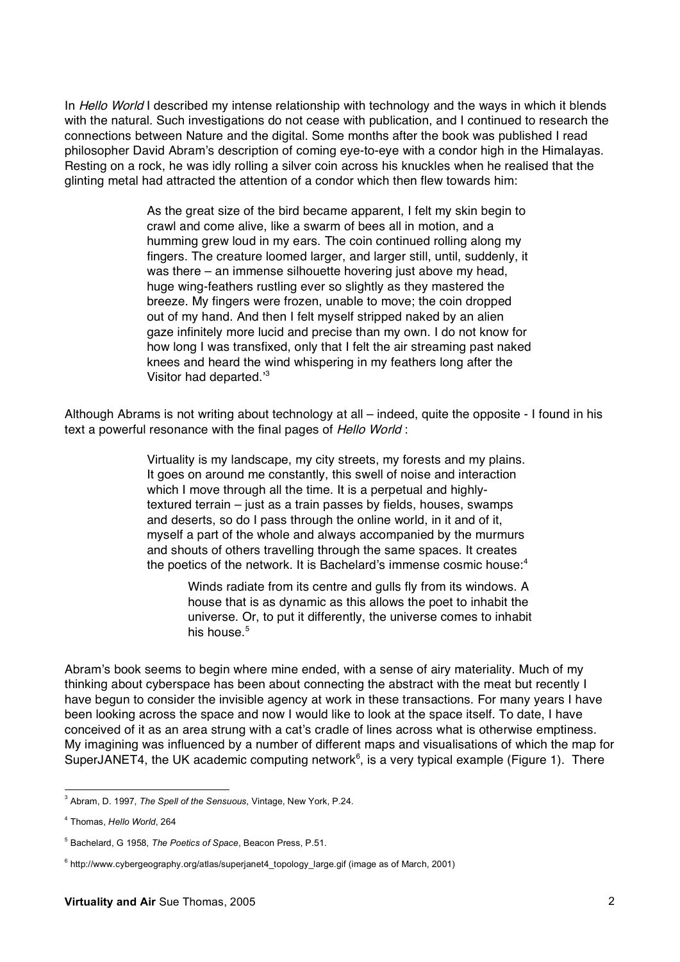In Hello World I described my intense relationship with technology and the ways in which it blends with the natural. Such investigations do not cease with publication, and I continued to research the connections between Nature and the digital. Some months after the book was published I read philosopher David Abram's description of coming eye-to-eye with a condor high in the Himalayas. Resting on a rock, he was idly rolling a silver coin across his knuckles when he realised that the glinting metal had attracted the attention of a condor which then flew towards him:

> As the great size of the bird became apparent, I felt my skin begin to crawl and come alive, like a swarm of bees all in motion, and a humming grew loud in my ears. The coin continued rolling along my fingers. The creature loomed larger, and larger still, until, suddenly, it was there – an immense silhouette hovering just above my head, huge wing-feathers rustling ever so slightly as they mastered the breeze. My fingers were frozen, unable to move; the coin dropped out of my hand. And then I felt myself stripped naked by an alien gaze infinitely more lucid and precise than my own. I do not know for how long I was transfixed, only that I felt the air streaming past naked knees and heard the wind whispering in my feathers long after the Visitor had departed.<sup>3</sup>

Although Abrams is not writing about technology at all – indeed, quite the opposite - I found in his text a powerful resonance with the final pages of Hello World :

> Virtuality is my landscape, my city streets, my forests and my plains. It goes on around me constantly, this swell of noise and interaction which I move through all the time. It is a perpetual and highlytextured terrain – just as a train passes by fields, houses, swamps and deserts, so do I pass through the online world, in it and of it. myself a part of the whole and always accompanied by the murmurs and shouts of others travelling through the same spaces. It creates the poetics of the network. It is Bachelard's immense cosmic house:<sup>4</sup>

> > Winds radiate from its centre and gulls fly from its windows. A house that is as dynamic as this allows the poet to inhabit the universe. Or, to put it differently, the universe comes to inhabit his house.<sup>5</sup>

Abram's book seems to begin where mine ended, with a sense of airy materiality. Much of my thinking about cyberspace has been about connecting the abstract with the meat but recently I have begun to consider the invisible agency at work in these transactions. For many years I have been looking across the space and now I would like to look at the space itself. To date, I have conceived of it as an area strung with a cat's cradle of lines across what is otherwise emptiness. My imagining was influenced by a number of different maps and visualisations of which the map for SuperJANET4, the UK academic computing network $6$ , is a very typical example (Figure 1). There

<sup>3</sup> Abram, D. 1997, *The Spell of the Sensuous*, Vintage, New York, P.24.

<sup>4</sup> Thomas, *Hello World*, 264

<sup>5</sup> Bachelard, G 1958, *The Poetics of Space*, Beacon Press, P.51.

<sup>6</sup> http://www.cybergeography.org/atlas/superjanet4\_topology\_large.gif (image as of March, 2001)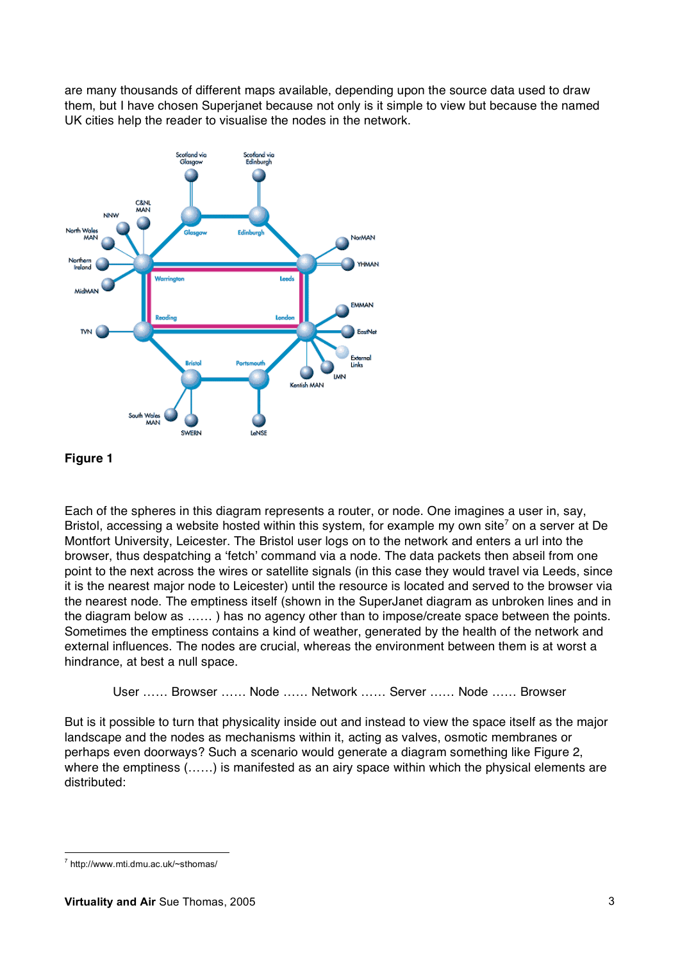are many thousands of different maps available, depending upon the source data used to draw them, but I have chosen Superjanet because not only is it simple to view but because the named UK cities help the reader to visualise the nodes in the network.



# **Figure 1**

Each of the spheres in this diagram represents a router, or node. One imagines a user in, say, Bristol, accessing a website hosted within this system, for example my own site<sup>7</sup> on a server at De Montfort University, Leicester. The Bristol user logs on to the network and enters a url into the browser, thus despatching a 'fetch' command via a node. The data packets then abseil from one point to the next across the wires or satellite signals (in this case they would travel via Leeds, since it is the nearest major node to Leicester) until the resource is located and served to the browser via the nearest node. The emptiness itself (shown in the SuperJanet diagram as unbroken lines and in the diagram below as …… ) has no agency other than to impose/create space between the points. Sometimes the emptiness contains a kind of weather, generated by the health of the network and external influences. The nodes are crucial, whereas the environment between them is at worst a hindrance, at best a null space.

User …… Browser …… Node …… Network …… Server …… Node …… Browser

But is it possible to turn that physicality inside out and instead to view the space itself as the major landscape and the nodes as mechanisms within it, acting as valves, osmotic membranes or perhaps even doorways? Such a scenario would generate a diagram something like Figure 2, where the emptiness (......) is manifested as an airy space within which the physical elements are distributed:

<sup>7</sup> http://www.mti.dmu.ac.uk/~sthomas/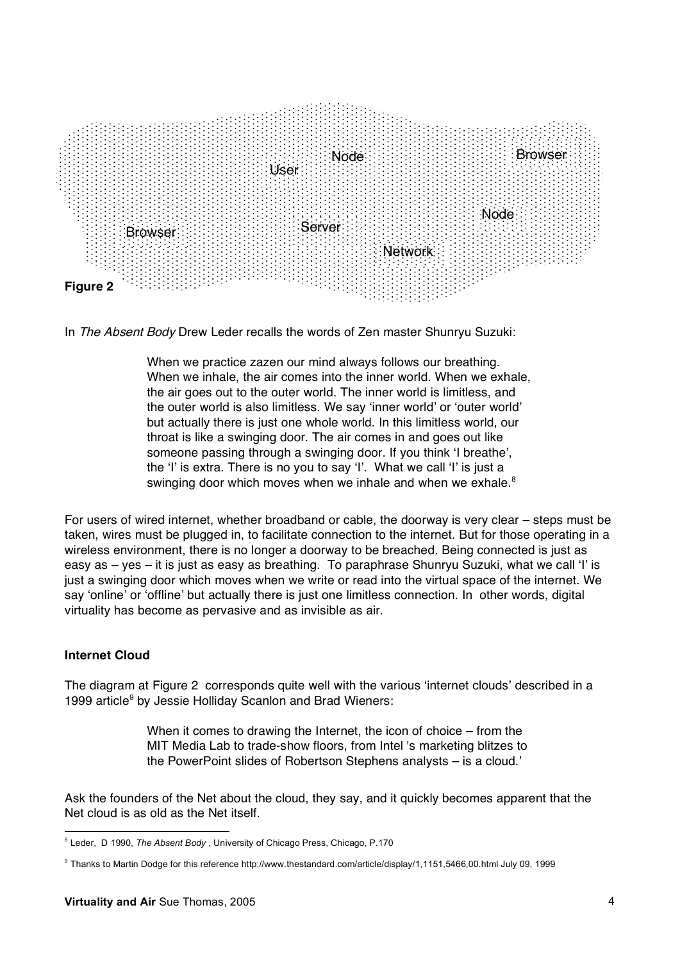

In The Absent Body Drew Leder recalls the words of Zen master Shunryu Suzuki:

When we practice zazen our mind always follows our breathing. When we inhale, the air comes into the inner world. When we exhale, the air goes out to the outer world. The inner world is limitless, and the outer world is also limitless. We say 'inner world' or 'outer world' but actually there is just one whole world. In this limitless world, our throat is like a swinging door. The air comes in and goes out like someone passing through a swinging door. If you think 'I breathe', the 'I' is extra. There is no you to say 'I'. What we call 'I' is just a swinging door which moves when we inhale and when we exhale.<sup>8</sup>

For users of wired internet, whether broadband or cable, the doorway is very clear – steps must be taken, wires must be plugged in, to facilitate connection to the internet. But for those operating in a wireless environment, there is no longer a doorway to be breached. Being connected is just as easy as – yes – it is just as easy as breathing. To paraphrase Shunryu Suzuki, what we call 'I' is just a swinging door which moves when we write or read into the virtual space of the internet. We say 'online' or 'offline' but actually there is just one limitless connection. In other words, digital virtuality has become as pervasive and as invisible as air.

# **Internet Cloud**

The diagram at Figure 2 corresponds quite well with the various 'internet clouds' described in a 1999 article<sup>9</sup> by Jessie Holliday Scanlon and Brad Wieners:

> When it comes to drawing the Internet, the icon of choice – from the MIT Media Lab to trade-show floors, from Intel 's marketing blitzes to the PowerPoint slides of Robertson Stephens analysts – is a cloud.'

Ask the founders of the Net about the cloud, they say, and it quickly becomes apparent that the Net cloud is as old as the Net itself.

<sup>8</sup> Leder, <sup>D</sup> 1990, *The Absent Body* , University of Chicago Press, Chicago, P.170

<sup>9</sup> Thanks to Martin Dodge for this reference http://www.thestandard.com/article/display/1,1151,5466,00.html July 09, 1999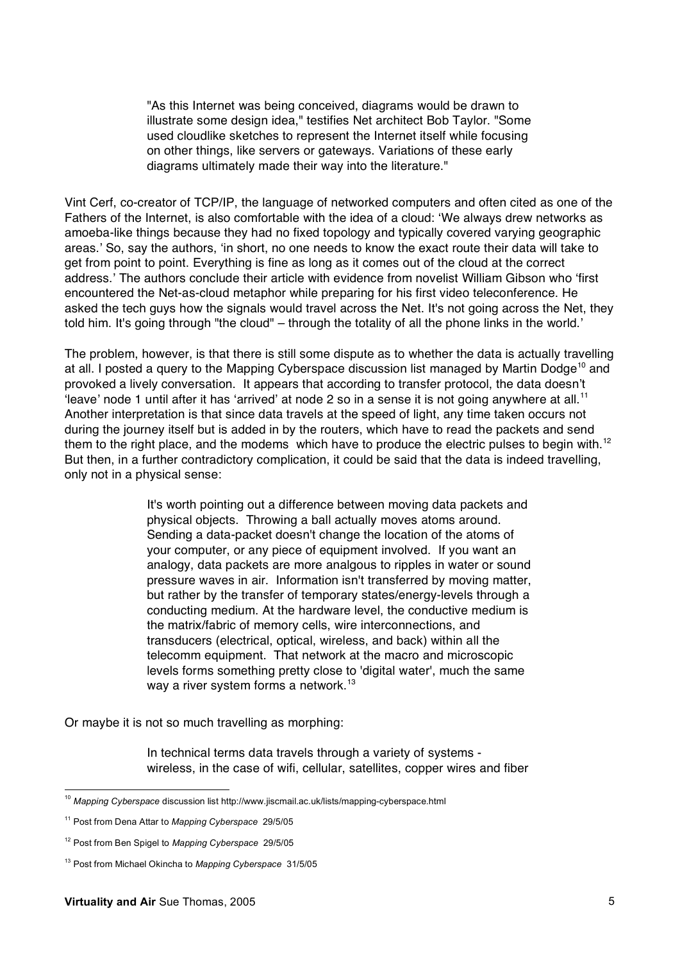"As this Internet was being conceived, diagrams would be drawn to illustrate some design idea," testifies Net architect Bob Taylor. "Some used cloudlike sketches to represent the Internet itself while focusing on other things, like servers or gateways. Variations of these early diagrams ultimately made their way into the literature."

Vint Cerf, co-creator of TCP/IP, the language of networked computers and often cited as one of the Fathers of the Internet, is also comfortable with the idea of a cloud: 'We always drew networks as amoeba-like things because they had no fixed topology and typically covered varying geographic areas.' So, say the authors, 'in short, no one needs to know the exact route their data will take to get from point to point. Everything is fine as long as it comes out of the cloud at the correct address.' The authors conclude their article with evidence from novelist William Gibson who 'first encountered the Net-as-cloud metaphor while preparing for his first video teleconference. He asked the tech guys how the signals would travel across the Net. It's not going across the Net, they told him. It's going through "the cloud" – through the totality of all the phone links in the world.'

The problem, however, is that there is still some dispute as to whether the data is actually travelling at all. I posted a query to the Mapping Cyberspace discussion list managed by Martin Dodge<sup>10</sup> and provoked a lively conversation. It appears that according to transfer protocol, the data doesn't 'leave' node 1 until after it has 'arrived' at node 2 so in a sense it is not going anywhere at all.<sup>11</sup> Another interpretation is that since data travels at the speed of light, any time taken occurs not during the journey itself but is added in by the routers, which have to read the packets and send them to the right place, and the modems which have to produce the electric pulses to begin with.<sup>12</sup> But then, in a further contradictory complication, it could be said that the data is indeed travelling, only not in a physical sense:

> It's worth pointing out a difference between moving data packets and physical objects. Throwing a ball actually moves atoms around. Sending a data-packet doesn't change the location of the atoms of your computer, or any piece of equipment involved. If you want an analogy, data packets are more analgous to ripples in water or sound pressure waves in air. Information isn't transferred by moving matter, but rather by the transfer of temporary states/energy-levels through a conducting medium. At the hardware level, the conductive medium is the matrix/fabric of memory cells, wire interconnections, and transducers (electrical, optical, wireless, and back) within all the telecomm equipment. That network at the macro and microscopic levels forms something pretty close to 'digital water', much the same way a river system forms a network.<sup>13</sup>

Or maybe it is not so much travelling as morphing:

In technical terms data travels through a variety of systems wireless, in the case of wifi, cellular, satellites, copper wires and fiber

<sup>10</sup> *Mapping Cyberspace* discussion list http://www.jiscmail.ac.uk/lists/mapping-cyberspace.html

<sup>11</sup> Post from Dena Attar to *Mapping Cyberspace* 29/5/05

<sup>12</sup> Post from Ben Spigel to *Mapping Cyberspace* 29/5/05

<sup>13</sup> Post from Michael Okincha to *Mapping Cyberspace* 31/5/05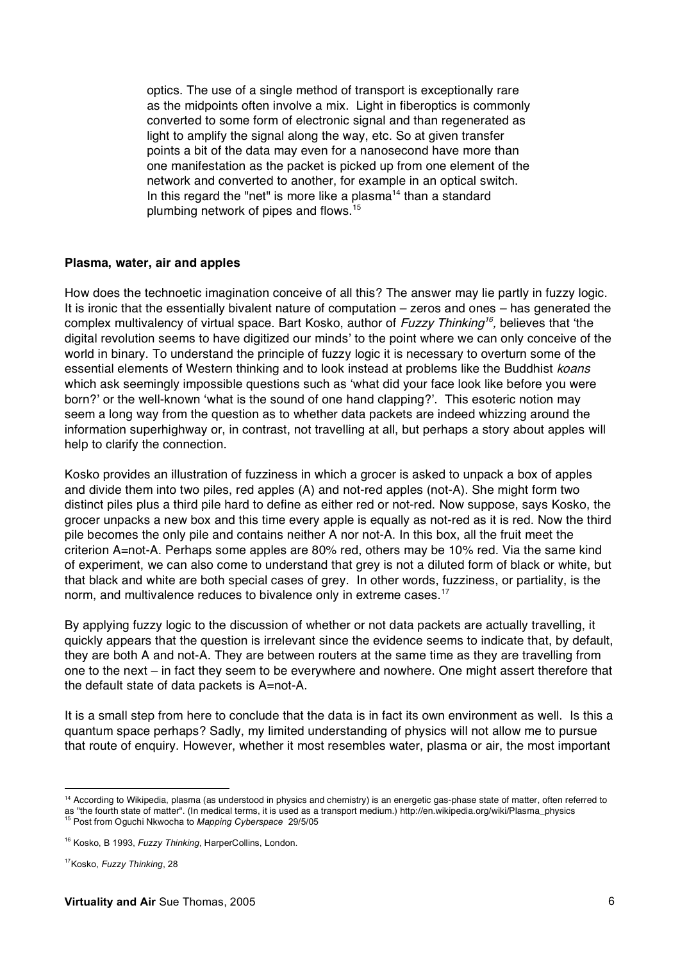optics. The use of a single method of transport is exceptionally rare as the midpoints often involve a mix. Light in fiberoptics is commonly converted to some form of electronic signal and than regenerated as light to amplify the signal along the way, etc. So at given transfer points a bit of the data may even for a nanosecond have more than one manifestation as the packet is picked up from one element of the network and converted to another, for example in an optical switch. In this regard the "net" is more like a plasma $14$  than a standard plumbing network of pipes and flows. 15

#### **Plasma, water, air and apples**

How does the technoetic imagination conceive of all this? The answer may lie partly in fuzzy logic. It is ironic that the essentially bivalent nature of computation – zeros and ones – has generated the complex multivalency of virtual space. Bart Kosko, author of  $Fuzzy Thinkina<sup>16</sup>$ , believes that 'the digital revolution seems to have digitized our minds' to the point where we can only conceive of the world in binary. To understand the principle of fuzzy logic it is necessary to overturn some of the essential elements of Western thinking and to look instead at problems like the Buddhist koans which ask seemingly impossible questions such as 'what did your face look like before you were born?' or the well-known 'what is the sound of one hand clapping?'. This esoteric notion may seem a long way from the question as to whether data packets are indeed whizzing around the information superhighway or, in contrast, not travelling at all, but perhaps a story about apples will help to clarify the connection.

Kosko provides an illustration of fuzziness in which a grocer is asked to unpack a box of apples and divide them into two piles, red apples (A) and not-red apples (not-A). She might form two distinct piles plus a third pile hard to define as either red or not-red. Now suppose, says Kosko, the grocer unpacks a new box and this time every apple is equally as not-red as it is red. Now the third pile becomes the only pile and contains neither A nor not-A. In this box, all the fruit meet the criterion A=not-A. Perhaps some apples are 80% red, others may be 10% red. Via the same kind of experiment, we can also come to understand that grey is not a diluted form of black or white, but that black and white are both special cases of grey. In other words, fuzziness, or partiality, is the norm, and multivalence reduces to bivalence only in extreme cases.<sup>17</sup>

By applying fuzzy logic to the discussion of whether or not data packets are actually travelling, it quickly appears that the question is irrelevant since the evidence seems to indicate that, by default, they are both A and not-A. They are between routers at the same time as they are travelling from one to the next – in fact they seem to be everywhere and nowhere. One might assert therefore that the default state of data packets is A=not-A.

It is a small step from here to conclude that the data is in fact its own environment as well. Is this a quantum space perhaps? Sadly, my limited understanding of physics will not allow me to pursue that route of enquiry. However, whether it most resembles water, plasma or air, the most important

<sup>&</sup>lt;sup>14</sup> According to Wikipedia, plasma (as understood in physics and chemistry) is an energetic gas-phase state of matter, often referred to as "the fourth state of matter". (In medical terms, it is used as <sup>a</sup> transport medium.) http://en.wikipedia.org/wiki/Plasma\_physics <sup>15</sup> Post from Oguchi Nkwocha to *Mapping Cyberspace* 29/5/05

<sup>16</sup> Kosko, B 1993, *Fuzzy Thinking*, HarperCollins, London.

<sup>17</sup> Kosko, *Fuzzy Thinking*, 28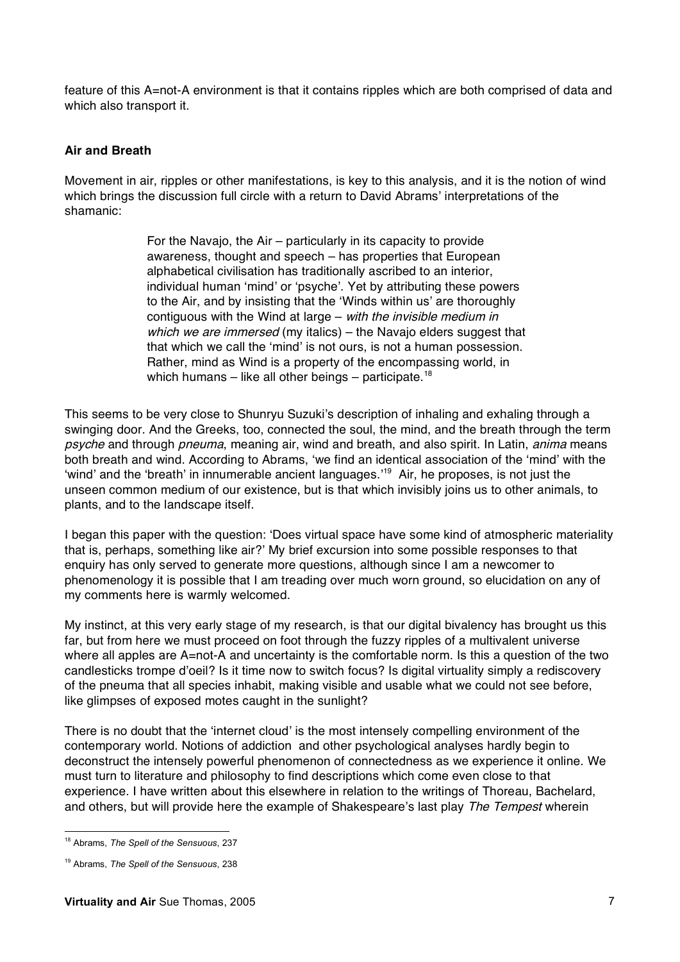feature of this A=not-A environment is that it contains ripples which are both comprised of data and which also transport it.

## **Air and Breath**

Movement in air, ripples or other manifestations, is key to this analysis, and it is the notion of wind which brings the discussion full circle with a return to David Abrams' interpretations of the shamanic:

> For the Navajo, the Air – particularly in its capacity to provide awareness, thought and speech – has properties that European alphabetical civilisation has traditionally ascribed to an interior, individual human 'mind' or 'psyche'. Yet by attributing these powers to the Air, and by insisting that the 'Winds within us' are thoroughly contiguous with the Wind at large – with the invisible medium in which we are immersed (my italics)  $-$  the Navaio elders suggest that that which we call the 'mind' is not ours, is not a human possession. Rather, mind as Wind is a property of the encompassing world, in which humans – like all other beings – participate.<sup>18</sup>

This seems to be very close to Shunryu Suzuki's description of inhaling and exhaling through a swinging door. And the Greeks, too, connected the soul, the mind, and the breath through the term psyche and through pneuma, meaning air, wind and breath, and also spirit. In Latin, anima means both breath and wind. According to Abrams, 'we find an identical association of the 'mind' with the 'wind' and the 'breath' in innumerable ancient languages.' <sup>19</sup> Air, he proposes, is not just the unseen common medium of our existence, but is that which invisibly joins us to other animals, to plants, and to the landscape itself.

I began this paper with the question: 'Does virtual space have some kind of atmospheric materiality that is, perhaps, something like air?' My brief excursion into some possible responses to that enquiry has only served to generate more questions, although since I am a newcomer to phenomenology it is possible that I am treading over much worn ground, so elucidation on any of my comments here is warmly welcomed.

My instinct, at this very early stage of my research, is that our digital bivalency has brought us this far, but from here we must proceed on foot through the fuzzy ripples of a multivalent universe where all apples are A=not-A and uncertainty is the comfortable norm. Is this a question of the two candlesticks trompe d'oeil? Is it time now to switch focus? Is digital virtuality simply a rediscovery of the pneuma that all species inhabit, making visible and usable what we could not see before, like glimpses of exposed motes caught in the sunlight?

There is no doubt that the 'internet cloud' is the most intensely compelling environment of the contemporary world. Notions of addiction and other psychological analyses hardly begin to deconstruct the intensely powerful phenomenon of connectedness as we experience it online. We must turn to literature and philosophy to find descriptions which come even close to that experience. I have written about this elsewhere in relation to the writings of Thoreau, Bachelard, and others, but will provide here the example of Shakespeare's last play The Tempest wherein

<sup>18</sup> Abrams, *The Spell of the Sensuous*, <sup>237</sup>

<sup>19</sup> Abrams, *The Spell of the Sensuous*, 238